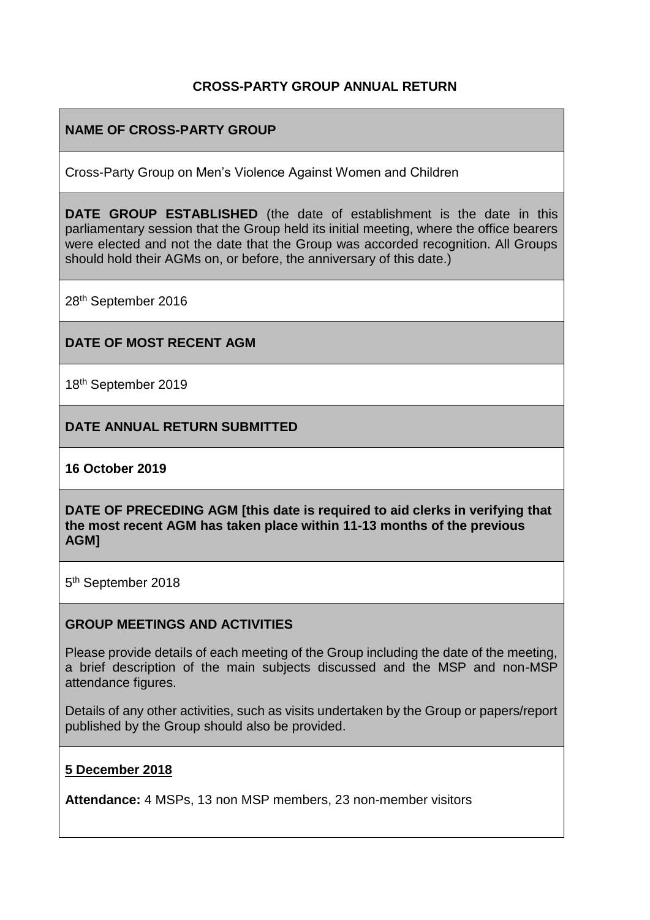## **CROSS-PARTY GROUP ANNUAL RETURN**

## **NAME OF CROSS-PARTY GROUP**

Cross-Party Group on Men's Violence Against Women and Children

**DATE GROUP ESTABLISHED** (the date of establishment is the date in this parliamentary session that the Group held its initial meeting, where the office bearers were elected and not the date that the Group was accorded recognition. All Groups should hold their AGMs on, or before, the anniversary of this date.)

28th September 2016

### **DATE OF MOST RECENT AGM**

18th September 2019

### **DATE ANNUAL RETURN SUBMITTED**

### **16 October 2019**

**DATE OF PRECEDING AGM [this date is required to aid clerks in verifying that the most recent AGM has taken place within 11-13 months of the previous AGM]**

5<sup>th</sup> September 2018

### **GROUP MEETINGS AND ACTIVITIES**

Please provide details of each meeting of the Group including the date of the meeting, a brief description of the main subjects discussed and the MSP and non-MSP attendance figures.

Details of any other activities, such as visits undertaken by the Group or papers/report published by the Group should also be provided.

### **5 December 2018**

**Attendance:** 4 MSPs, 13 non MSP members, 23 non-member visitors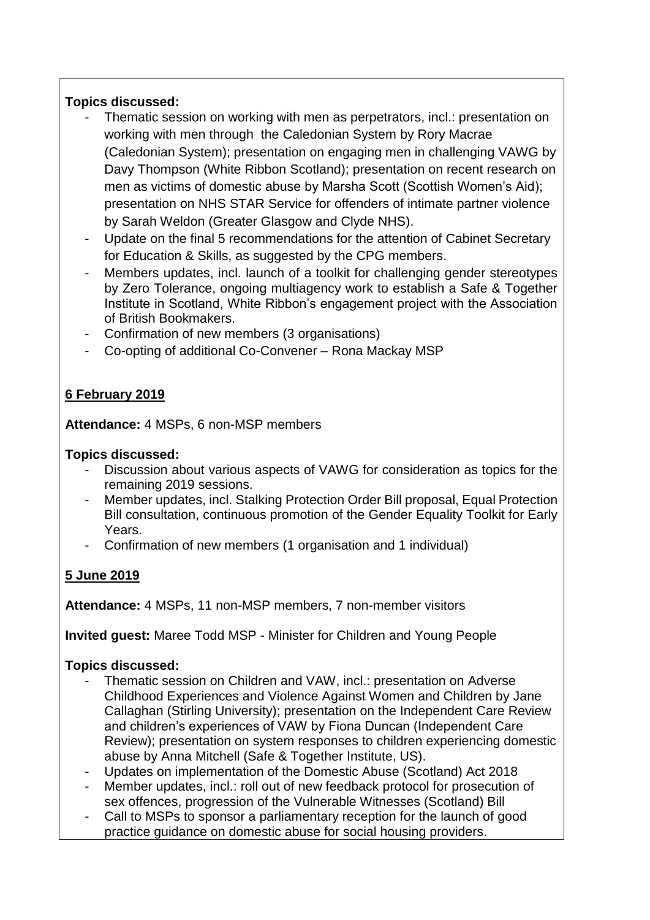## **Topics discussed:**

- Thematic session on working with men as perpetrators, incl.: presentation on working with men through the Caledonian System by Rory Macrae (Caledonian System); presentation on engaging men in challenging VAWG by Davy Thompson (White Ribbon Scotland); presentation on recent research on men as victims of domestic abuse by Marsha Scott (Scottish Women's Aid); presentation on NHS STAR Service for offenders of intimate partner violence by Sarah Weldon (Greater Glasgow and Clyde NHS).
- Update on the final 5 recommendations for the attention of Cabinet Secretary for Education & Skills, as suggested by the CPG members.
- Members updates, incl. launch of a toolkit for challenging gender stereotypes by Zero Tolerance, ongoing multiagency work to establish a Safe & Together Institute in Scotland, White Ribbon's engagement project with the Association of British Bookmakers.
- Confirmation of new members (3 organisations)
- Co-opting of additional Co-Convener Rona Mackay MSP

# **6 February 2019**

**Attendance:** 4 MSPs, 6 non-MSP members

## **Topics discussed:**

- Discussion about various aspects of VAWG for consideration as topics for the remaining 2019 sessions.
- Member updates, incl. Stalking Protection Order Bill proposal, Equal Protection Bill consultation, continuous promotion of the Gender Equality Toolkit for Early Years.
- Confirmation of new members (1 organisation and 1 individual)

# **5 June 2019**

**Attendance:** 4 MSPs, 11 non-MSP members, 7 non-member visitors

**Invited guest:** Maree Todd MSP - Minister for Children and Young People

## **Topics discussed:**

- Thematic session on Children and VAW, incl.: presentation on Adverse Childhood Experiences and Violence Against Women and Children by Jane Callaghan (Stirling University); presentation on the Independent Care Review and children's experiences of VAW by Fiona Duncan (Independent Care Review); presentation on system responses to children experiencing domestic abuse by Anna Mitchell (Safe & Together Institute, US).
- Updates on implementation of the Domestic Abuse (Scotland) Act 2018
- Member updates, incl.: roll out of new feedback protocol for prosecution of sex offences, progression of the Vulnerable Witnesses (Scotland) Bill
- Call to MSPs to sponsor a parliamentary reception for the launch of good practice guidance on domestic abuse for social housing providers.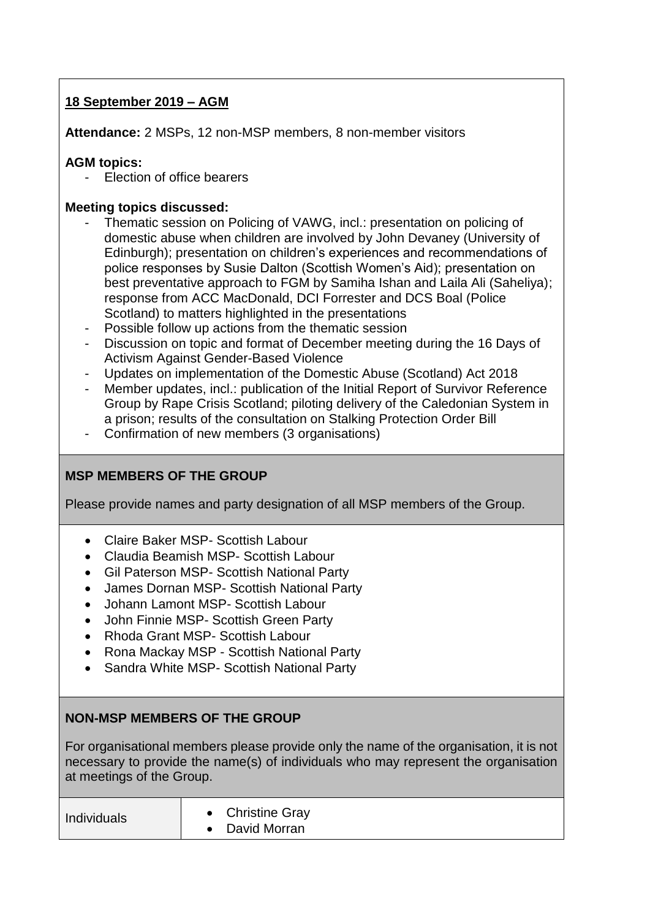## **18 September 2019 – AGM**

**Attendance:** 2 MSPs, 12 non-MSP members, 8 non-member visitors

## **AGM topics:**

Election of office bearers

## **Meeting topics discussed:**

- Thematic session on Policing of VAWG, incl.: presentation on policing of domestic abuse when children are involved by John Devaney (University of Edinburgh); presentation on children's experiences and recommendations of police responses by Susie Dalton (Scottish Women's Aid); presentation on best preventative approach to FGM by Samiha Ishan and Laila Ali (Saheliya); response from ACC MacDonald, DCI Forrester and DCS Boal (Police Scotland) to matters highlighted in the presentations
- Possible follow up actions from the thematic session
- Discussion on topic and format of December meeting during the 16 Days of Activism Against Gender-Based Violence
- Updates on implementation of the Domestic Abuse (Scotland) Act 2018
- Member updates, incl.: publication of the Initial Report of Survivor Reference Group by Rape Crisis Scotland; piloting delivery of the Caledonian System in a prison; results of the consultation on Stalking Protection Order Bill
- Confirmation of new members (3 organisations)

# **MSP MEMBERS OF THE GROUP**

Please provide names and party designation of all MSP members of the Group.

- Claire Baker MSP- Scottish Labour
- Claudia Beamish MSP- Scottish Labour
- Gil Paterson MSP- Scottish National Party
- James Dornan MSP- Scottish National Party
- Johann Lamont MSP- Scottish Labour
- John Finnie MSP- Scottish Green Party
- Rhoda Grant MSP- Scottish Labour
- Rona Mackay MSP Scottish National Party
- Sandra White MSP- Scottish National Party

### **NON-MSP MEMBERS OF THE GROUP**

For organisational members please provide only the name of the organisation, it is not necessary to provide the name(s) of individuals who may represent the organisation at meetings of the Group.

| Individuals | • Christine Gray<br>David Morran |  |
|-------------|----------------------------------|--|
|-------------|----------------------------------|--|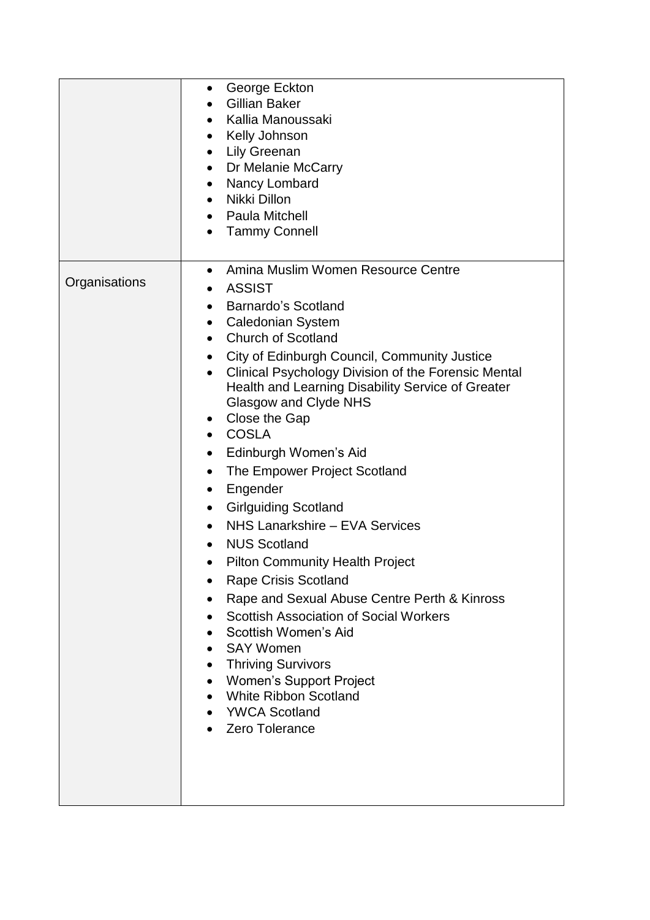|               | George Eckton<br>$\bullet$<br><b>Gillian Baker</b><br>Kallia Manoussaki<br>Kelly Johnson<br><b>Lily Greenan</b><br>$\bullet$<br>• Dr Melanie McCarry<br>Nancy Lombard<br>$\bullet$<br>Nikki Dillon<br>$\bullet$<br>• Paula Mitchell<br><b>Tammy Connell</b><br>$\bullet$                                                                                                                                                                                                                                                                                                                                                                                                                                                                                                                                                                                                                                                                                                                                                                                       |
|---------------|----------------------------------------------------------------------------------------------------------------------------------------------------------------------------------------------------------------------------------------------------------------------------------------------------------------------------------------------------------------------------------------------------------------------------------------------------------------------------------------------------------------------------------------------------------------------------------------------------------------------------------------------------------------------------------------------------------------------------------------------------------------------------------------------------------------------------------------------------------------------------------------------------------------------------------------------------------------------------------------------------------------------------------------------------------------|
| Organisations | Amina Muslim Women Resource Centre<br>$\bullet$<br><b>ASSIST</b><br>Barnardo's Scotland<br><b>Caledonian System</b><br>$\bullet$<br><b>Church of Scotland</b><br>$\bullet$<br>City of Edinburgh Council, Community Justice<br>$\bullet$<br>Clinical Psychology Division of the Forensic Mental<br>$\bullet$<br>Health and Learning Disability Service of Greater<br>Glasgow and Clyde NHS<br>Close the Gap<br>$\bullet$<br><b>COSLA</b><br>$\bullet$<br>Edinburgh Women's Aid<br>$\bullet$<br>The Empower Project Scotland<br>$\bullet$<br>Engender<br>$\bullet$<br><b>Girlguiding Scotland</b><br>$\bullet$<br>NHS Lanarkshire - EVA Services<br><b>NUS Scotland</b><br><b>Pilton Community Health Project</b><br>$\bullet$<br><b>Rape Crisis Scotland</b><br>Rape and Sexual Abuse Centre Perth & Kinross<br><b>Scottish Association of Social Workers</b><br>Scottish Women's Aid<br><b>SAY Women</b><br><b>Thriving Survivors</b><br>$\bullet$<br><b>Women's Support Project</b><br><b>White Ribbon Scotland</b><br><b>YWCA Scotland</b><br>Zero Tolerance |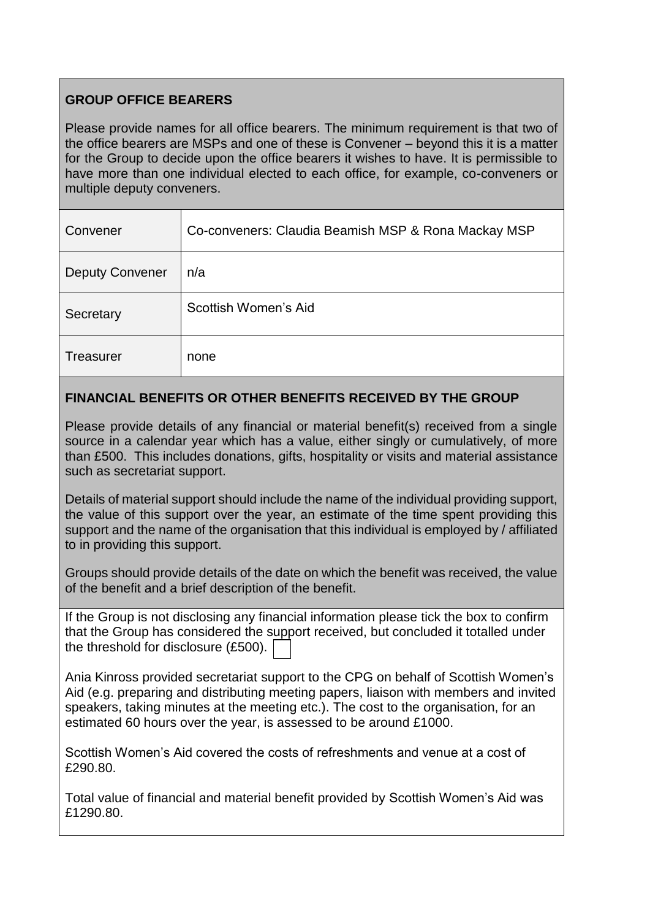# **GROUP OFFICE BEARERS**

Please provide names for all office bearers. The minimum requirement is that two of the office bearers are MSPs and one of these is Convener – beyond this it is a matter for the Group to decide upon the office bearers it wishes to have. It is permissible to have more than one individual elected to each office, for example, co-conveners or multiple deputy conveners.

| Convener               | Co-conveners: Claudia Beamish MSP & Rona Mackay MSP |
|------------------------|-----------------------------------------------------|
| <b>Deputy Convener</b> | n/a                                                 |
| Secretary              | Scottish Women's Aid                                |
| <b>Treasurer</b>       | none                                                |

# **FINANCIAL BENEFITS OR OTHER BENEFITS RECEIVED BY THE GROUP**

Please provide details of any financial or material benefit(s) received from a single source in a calendar year which has a value, either singly or cumulatively, of more than £500. This includes donations, gifts, hospitality or visits and material assistance such as secretariat support.

Details of material support should include the name of the individual providing support, the value of this support over the year, an estimate of the time spent providing this support and the name of the organisation that this individual is employed by / affiliated to in providing this support.

Groups should provide details of the date on which the benefit was received, the value of the benefit and a brief description of the benefit.

If the Group is not disclosing any financial information please tick the box to confirm that the Group has considered the support received, but concluded it totalled under the threshold for disclosure (£500).

Ania Kinross provided secretariat support to the CPG on behalf of Scottish Women's Aid (e.g. preparing and distributing meeting papers, liaison with members and invited speakers, taking minutes at the meeting etc.). The cost to the organisation, for an estimated 60 hours over the year, is assessed to be around £1000.

Scottish Women's Aid covered the costs of refreshments and venue at a cost of £290.80.

Total value of financial and material benefit provided by Scottish Women's Aid was £1290.80.